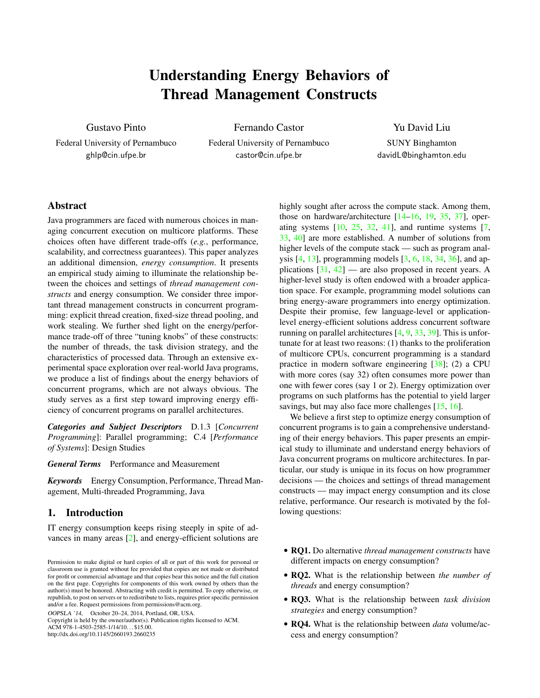# Understanding Energy Behaviors of Thread Management Constructs

Gustavo Pinto

Federal University of Pernambuco ghlp@cin.ufpe.br

Fernando Castor

Federal University of Pernambuco castor@cin.ufpe.br

Yu David Liu

SUNY Binghamton davidL@binghamton.edu

# Abstract

Java programmers are faced with numerous choices in managing concurrent execution on multicore platforms. These choices often have different trade-offs (*e.g.*, performance, scalability, and correctness guarantees). This paper analyzes an additional dimension, *energy consumption*. It presents an empirical study aiming to illuminate the relationship between the choices and settings of *thread management constructs* and energy consumption. We consider three important thread management constructs in concurrent programming: explicit thread creation, fixed-size thread pooling, and work stealing. We further shed light on the energy/performance trade-off of three "tuning knobs" of these constructs: the number of threads, the task division strategy, and the characteristics of processed data. Through an extensive experimental space exploration over real-world Java programs, we produce a list of findings about the energy behaviors of concurrent programs, which are not always obvious. The study serves as a first step toward improving energy efficiency of concurrent programs on parallel architectures.

*Categories and Subject Descriptors* D.1.3 [*Concurrent Programming*]: Parallel programming; C.4 [*Performance of Systems*]: Design Studies

#### *General Terms* Performance and Measurement

*Keywords* Energy Consumption, Performance, Thread Management, Multi-threaded Programming, Java

# 1. Introduction

IT energy consumption keeps rising steeply in spite of advances in many areas [\[2\]](#page-14-0), and energy-efficient solutions are

*OOPSLA '14*, October 20–24, 2014, Portland, OR, USA.

Copyright is held by the owner/author(s). Publication rights licensed to ACM. ACM 978-1-4503-2585-1/14/10. . . \$15.00. http://dx.doi.org/10.1145/2660193.2660235

highly sought after across the compute stack. Among them, those on hardware/architecture [\[14–](#page-14-1)[16,](#page-14-2) [19,](#page-14-3) [35,](#page-15-0) [37\]](#page-15-1), operating systems  $[10, 25, 32, 41]$  $[10, 25, 32, 41]$  $[10, 25, 32, 41]$  $[10, 25, 32, 41]$  $[10, 25, 32, 41]$  $[10, 25, 32, 41]$  $[10, 25, 32, 41]$ , and runtime systems  $[7, 41]$  $[7, 41]$ [33,](#page-15-5) [40\]](#page-15-6) are more established. A number of solutions from higher levels of the compute stack — such as program analysis [\[4,](#page-14-6) [13\]](#page-14-7), programming models [\[3,](#page-14-8) [6,](#page-14-9) [18,](#page-14-10) [34,](#page-15-7) [36\]](#page-15-8), and applications  $[31, 42]$  $[31, 42]$  $[31, 42]$  — are also proposed in recent years. A higher-level study is often endowed with a broader application space. For example, programming model solutions can bring energy-aware programmers into energy optimization. Despite their promise, few language-level or applicationlevel energy-efficient solutions address concurrent software running on parallel architectures [\[4,](#page-14-6) [9,](#page-14-11) [33,](#page-15-5) [39\]](#page-15-11). This is unfortunate for at least two reasons: (1) thanks to the proliferation of multicore CPUs, concurrent programming is a standard practice in modern software engineering [\[38\]](#page-15-12); (2) a CPU with more cores (say 32) often consumes more power than one with fewer cores (say 1 or 2). Energy optimization over programs on such platforms has the potential to yield larger savings, but may also face more challenges [\[15,](#page-14-12) [16\]](#page-14-2).

We believe a first step to optimize energy consumption of concurrent programs is to gain a comprehensive understanding of their energy behaviors. This paper presents an empirical study to illuminate and understand energy behaviors of Java concurrent programs on multicore architectures. In particular, our study is unique in its focus on how programmer decisions — the choices and settings of thread management constructs — may impact energy consumption and its close relative, performance. Our research is motivated by the following questions:

- *•* RQ1. Do alternative *thread management constructs* have different impacts on energy consumption?
- *•* RQ2. What is the relationship between *the number of threads* and energy consumption?
- *•* RQ3. What is the relationship between *task division strategies* and energy consumption?
- *•* RQ4. What is the relationship between *data* volume/access and energy consumption?

Permission to make digital or hard copies of all or part of this work for personal or classroom use is granted without fee provided that copies are not made or distributed for profit or commercial advantage and that copies bear this notice and the full citation on the first page. Copyrights for components of this work owned by others than the author(s) must be honored. Abstracting with credit is permitted. To copy otherwise, or republish, to post on servers or to redistribute to lists, requires prior specific permission and/or a fee. Request permissions from permissions@acm.org.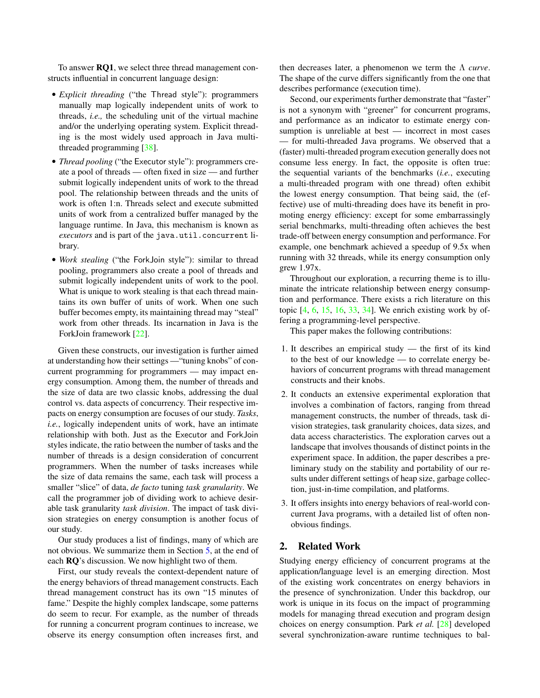To answer RQ1, we select three thread management constructs influential in concurrent language design:

- *• Explicit threading* ("the Thread style"): programmers manually map logically independent units of work to threads, *i.e.,* the scheduling unit of the virtual machine and/or the underlying operating system. Explicit threading is the most widely used approach in Java multithreaded programming [\[38\]](#page-15-12).
- *• Thread pooling* ("the Executor style"): programmers create a pool of threads — often fixed in size — and further submit logically independent units of work to the thread pool. The relationship between threads and the units of work is often 1:n. Threads select and execute submitted units of work from a centralized buffer managed by the language runtime. In Java, this mechanism is known as *executors* and is part of the java.util.concurrent library.
- *• Work stealing* ("the ForkJoin style"): similar to thread pooling, programmers also create a pool of threads and submit logically independent units of work to the pool. What is unique to work stealing is that each thread maintains its own buffer of units of work. When one such buffer becomes empty, its maintaining thread may "steal" work from other threads. Its incarnation in Java is the ForkJoin framework [\[22\]](#page-14-13).

Given these constructs, our investigation is further aimed at understanding how their settings —"tuning knobs" of concurrent programming for programmers — may impact energy consumption. Among them, the number of threads and the size of data are two classic knobs, addressing the dual control vs. data aspects of concurrency. Their respective impacts on energy consumption are focuses of our study. *Tasks*, *i.e.*, logically independent units of work, have an intimate relationship with both. Just as the Executor and ForkJoin styles indicate, the ratio between the number of tasks and the number of threads is a design consideration of concurrent programmers. When the number of tasks increases while the size of data remains the same, each task will process a smaller "slice" of data, *de facto* tuning *task granularity*. We call the programmer job of dividing work to achieve desirable task granularity *task division*. The impact of task division strategies on energy consumption is another focus of our study.

Our study produces a list of findings, many of which are not obvious. We summarize them in Section [5,](#page-5-0) at the end of each RQ's discussion. We now highlight two of them.

First, our study reveals the context-dependent nature of the energy behaviors of thread management constructs. Each thread management construct has its own "15 minutes of fame." Despite the highly complex landscape, some patterns do seem to recur. For example, as the number of threads for running a concurrent program continues to increase, we observe its energy consumption often increases first, and then decreases later, a phenomenon we term the  $\Lambda$  *curve*. The shape of the curve differs significantly from the one that describes performance (execution time).

Second, our experiments further demonstrate that "faster" is not a synonym with "greener" for concurrent programs, and performance as an indicator to estimate energy consumption is unreliable at best — incorrect in most cases — for multi-threaded Java programs. We observed that a (faster) multi-threaded program execution generally does not consume less energy. In fact, the opposite is often true: the sequential variants of the benchmarks (*i.e.*, executing a multi-threaded program with one thread) often exhibit the lowest energy consumption. That being said, the (effective) use of multi-threading does have its benefit in promoting energy efficiency: except for some embarrassingly serial benchmarks, multi-threading often achieves the best trade-off between energy consumption and performance. For example, one benchmark achieved a speedup of 9.5x when running with 32 threads, while its energy consumption only grew 1.97x.

Throughout our exploration, a recurring theme is to illuminate the intricate relationship between energy consumption and performance. There exists a rich literature on this topic [\[4,](#page-14-6) [6,](#page-14-9) [15,](#page-14-12) [16,](#page-14-2) [33,](#page-15-5) [34\]](#page-15-7). We enrich existing work by offering a programming-level perspective.

This paper makes the following contributions:

- 1. It describes an empirical study the first of its kind to the best of our knowledge — to correlate energy behaviors of concurrent programs with thread management constructs and their knobs.
- 2. It conducts an extensive experimental exploration that involves a combination of factors, ranging from thread management constructs, the number of threads, task division strategies, task granularity choices, data sizes, and data access characteristics. The exploration carves out a landscape that involves thousands of distinct points in the experiment space. In addition, the paper describes a preliminary study on the stability and portability of our results under different settings of heap size, garbage collection, just-in-time compilation, and platforms.
- 3. It offers insights into energy behaviors of real-world concurrent Java programs, with a detailed list of often nonobvious findings.

#### 2. Related Work

Studying energy efficiency of concurrent programs at the application/language level is an emerging direction. Most of the existing work concentrates on energy behaviors in the presence of synchronization. Under this backdrop, our work is unique in its focus on the impact of programming models for managing thread execution and program design choices on energy consumption. Park *et al.* [\[28\]](#page-15-13) developed several synchronization-aware runtime techniques to bal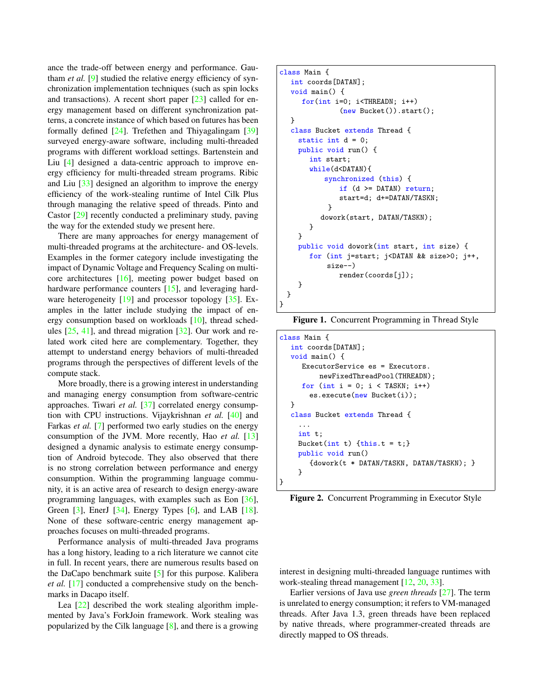ance the trade-off between energy and performance. Gautham *et al.* [\[9\]](#page-14-11) studied the relative energy efficiency of synchronization implementation techniques (such as spin locks and transactions). A recent short paper  $[23]$  called for energy management based on different synchronization patterns, a concrete instance of which based on futures has been formally defined [\[24\]](#page-15-15). Trefethen and Thiyagalingam [\[39\]](#page-15-11) surveyed energy-aware software, including multi-threaded programs with different workload settings. Bartenstein and Liu [\[4\]](#page-14-6) designed a data-centric approach to improve energy efficiency for multi-threaded stream programs. Ribic and Liu [\[33\]](#page-15-5) designed an algorithm to improve the energy efficiency of the work-stealing runtime of Intel Cilk Plus through managing the relative speed of threads. Pinto and Castor [\[29\]](#page-15-16) recently conducted a preliminary study, paving the way for the extended study we present here.

There are many approaches for energy management of multi-threaded programs at the architecture- and OS-levels. Examples in the former category include investigating the impact of Dynamic Voltage and Frequency Scaling on multicore architectures [\[16\]](#page-14-2), meeting power budget based on hardware performance counters [\[15\]](#page-14-12), and leveraging hardware heterogeneity  $[19]$  and processor topology  $[35]$ . Examples in the latter include studying the impact of energy consumption based on workloads [\[10\]](#page-14-4), thread schedules [\[25,](#page-15-2) [41\]](#page-15-4), and thread migration [\[32\]](#page-15-3). Our work and related work cited here are complementary. Together, they attempt to understand energy behaviors of multi-threaded programs through the perspectives of different levels of the compute stack.

More broadly, there is a growing interest in understanding and managing energy consumption from software-centric approaches. Tiwari *et al.* [\[37\]](#page-15-1) correlated energy consumption with CPU instructions. Vijaykrishnan *et al.* [\[40\]](#page-15-6) and Farkas *et al.* [\[7\]](#page-14-5) performed two early studies on the energy consumption of the JVM. More recently, Hao *et al.* [\[13\]](#page-14-7) designed a dynamic analysis to estimate energy consumption of Android bytecode. They also observed that there is no strong correlation between performance and energy consumption. Within the programming language community, it is an active area of research to design energy-aware programming languages, with examples such as Eon [\[36\]](#page-15-8), Green [\[3\]](#page-14-8), EnerJ [\[34\]](#page-15-7), Energy Types [\[6\]](#page-14-9), and LAB [\[18\]](#page-14-10). None of these software-centric energy management approaches focuses on multi-threaded programs.

Performance analysis of multi-threaded Java programs has a long history, leading to a rich literature we cannot cite in full. In recent years, there are numerous results based on the DaCapo benchmark suite [\[5\]](#page-14-14) for this purpose. Kalibera *et al.* [\[17\]](#page-14-15) conducted a comprehensive study on the benchmarks in Dacapo itself.

Lea [\[22\]](#page-14-13) described the work stealing algorithm implemented by Java's ForkJoin framework. Work stealing was popularized by the Cilk language [\[8\]](#page-14-16), and there is a growing

```
class Main {
  int coords[DATAN];
  void main() {
     for(int i=0; i<THREADN; i++)
               (new Bucket()).start();
  }
  class Bucket extends Thread {
    static int d = 0;
    public void run() {
       int start;
       while(d<DATAN){
           synchronized (this) {
               if (d >= DATAN) return;
               start=d; d+=DATAN/TASKN;
            }
          dowork(start, DATAN/TASKN);
       }
    }
    public void dowork(int start, int size) {
       for (int j=start; j<DATAN && size>0; j++,
            size--)
              render(coords[j]);
    }
 }
}
```
<span id="page-2-0"></span>Figure 1. Concurrent Programming in Thread Style

```
class Main {
  int coords[DATAN];
  void main() {
     ExecutorService es = Executors.
          newFixedThreadPool(THREADN);
     for (int i = 0; i < TASKN; i++)es.execute(new Bucket(i));
  }
  class Bucket extends Thread {
    ...
    int t;
    Bucket(int t) {this.t = t;}
    public void run()
       {dowork(t * DATAN/TASKN, DATAN/TASKN); }
    }
}
```
<span id="page-2-1"></span>Figure 2. Concurrent Programming in Executor Style

interest in designing multi-threaded language runtimes with work-stealing thread management [\[12,](#page-14-17) [20,](#page-14-18) [33\]](#page-15-5).

Earlier versions of Java use *green threads* [\[27\]](#page-15-17). The term is unrelated to energy consumption; it refers to VM-managed threads. After Java 1.3, green threads have been replaced by native threads, where programmer-created threads are directly mapped to OS threads.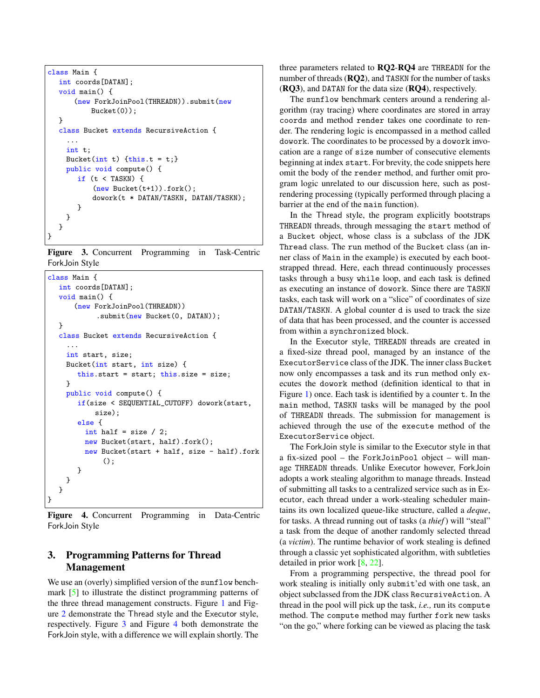```
class Main {
  int coords[DATAN];
  void main() {
      (new ForkJoinPool(THREADN)).submit(new
          Bucket(0));
  }
  class Bucket extends RecursiveAction {
    ...
    int t:
    Bucket(int t) {this.t = t;}
    public void compute() {
       if (t < TASKN) {
           (new Bucket(t+1)).fork();
           dowork(t * DATAN/TASKN, DATAN/TASKN);
       }
    }
  }
}
```
<span id="page-3-0"></span>Figure 3. Concurrent Programming in Task-Centric ForkJoin Style

```
class Main {
  int coords[DATAN];
  void main() {
      (new ForkJoinPool(THREADN))
            .submit(new Bucket(0, DATAN));
  }
  class Bucket extends RecursiveAction {
    ...
    int start, size;
    Bucket(int start, int size) {
       this.start = start; this.size = size;
    }
    public void compute() {
       if(size < SEQUENTIAL_CUTOFF) dowork(start,
           size);
       else {
         int half = size / 2;
         new Bucket(start, half).fork();
         new Bucket(start + half, size - half).fork
             ():
       }
    }
  }
}
```
<span id="page-3-1"></span>Figure 4. Concurrent Programming in Data-Centric ForkJoin Style

# <span id="page-3-2"></span>3. Programming Patterns for Thread Management

We use an (overly) simplified version of the sunflow benchmark [\[5\]](#page-14-14) to illustrate the distinct programming patterns of the three thread management constructs. Figure [1](#page-2-0) and Figure [2](#page-2-1) demonstrate the Thread style and the Executor style, respectively. Figure [3](#page-3-0) and Figure [4](#page-3-1) both demonstrate the ForkJoin style, with a difference we will explain shortly. The

three parameters related to RQ2-RQ4 are THREADN for the number of threads (RQ2), and TASKN for the number of tasks (RQ3), and DATAN for the data size (RQ4), respectively.

The sunflow benchmark centers around a rendering algorithm (ray tracing) where coordinates are stored in array coords and method render takes one coordinate to render. The rendering logic is encompassed in a method called dowork. The coordinates to be processed by a dowork invocation are a range of size number of consecutive elements beginning at index start. For brevity, the code snippets here omit the body of the render method, and further omit program logic unrelated to our discussion here, such as postrendering processing (typically performed through placing a barrier at the end of the main function).

In the Thread style, the program explicitly bootstraps THREADN threads, through messaging the start method of a Bucket object, whose class is a subclass of the JDK Thread class. The run method of the Bucket class (an inner class of Main in the example) is executed by each bootstrapped thread. Here, each thread continuously processes tasks through a busy while loop, and each task is defined as executing an instance of dowork. Since there are TASKN tasks, each task will work on a "slice" of coordinates of size DATAN/TASKN. A global counter d is used to track the size of data that has been processed, and the counter is accessed from within a synchronized block.

In the Executor style, THREADN threads are created in a fixed-size thread pool, managed by an instance of the ExecutorService class of the JDK. The inner class Bucket now only encompasses a task and its run method only executes the dowork method (definition identical to that in Figure [1\)](#page-2-0) once. Each task is identified by a counter t. In the main method, TASKN tasks will be managed by the pool of THREADN threads. The submission for management is achieved through the use of the execute method of the ExecutorService object.

The ForkJoin style is similar to the Executor style in that a fix-sized pool – the ForkJoinPool object – will manage THREADN threads. Unlike Executor however, ForkJoin adopts a work stealing algorithm to manage threads. Instead of submitting all tasks to a centralized service such as in Executor, each thread under a work-stealing scheduler maintains its own localized queue-like structure, called a *deque*, for tasks. A thread running out of tasks (a *thief*) will "steal" a task from the deque of another randomly selected thread (a *victim*). The runtime behavior of work stealing is defined through a classic yet sophisticated algorithm, with subtleties detailed in prior work [\[8,](#page-14-16) [22\]](#page-14-13).

From a programming perspective, the thread pool for work stealing is initially only submit'ed with one task, an object subclassed from the JDK class RecursiveAction. A thread in the pool will pick up the task, *i.e.,* run its compute method. The compute method may further fork new tasks "on the go," where forking can be viewed as placing the task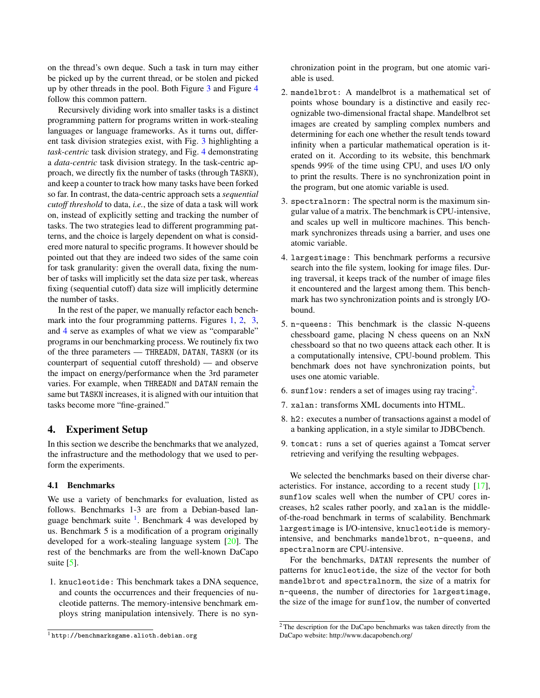on the thread's own deque. Such a task in turn may either be picked up by the current thread, or be stolen and picked up by other threads in the pool. Both Figure [3](#page-3-0) and Figure [4](#page-3-1) follow this common pattern.

Recursively dividing work into smaller tasks is a distinct programming pattern for programs written in work-stealing languages or language frameworks. As it turns out, different task division strategies exist, with Fig. [3](#page-3-0) highlighting a *task-centric* task division strategy, and Fig. [4](#page-3-1) demonstrating a *data-centric* task division strategy. In the task-centric approach, we directly fix the number of tasks (through TASKN), and keep a counter to track how many tasks have been forked so far. In contrast, the data-centric approach sets a *sequential cutoff threshold* to data, *i.e.*, the size of data a task will work on, instead of explicitly setting and tracking the number of tasks. The two strategies lead to different programming patterns, and the choice is largely dependent on what is considered more natural to specific programs. It however should be pointed out that they are indeed two sides of the same coin for task granularity: given the overall data, fixing the number of tasks will implicitly set the data size per task, whereas fixing (sequential cutoff) data size will implicitly determine the number of tasks.

In the rest of the paper, we manually refactor each bench-mark into the four programming patterns. Figures [1,](#page-2-0) [2,](#page-2-1) [3,](#page-3-0) and [4](#page-3-1) serve as examples of what we view as "comparable" programs in our benchmarking process. We routinely fix two of the three parameters — THREADN, DATAN, TASKN (or its counterpart of sequential cutoff threshold) — and observe the impact on energy/performance when the 3rd parameter varies. For example, when THREADN and DATAN remain the same but TASKN increases, it is aligned with our intuition that tasks become more "fine-grained."

# <span id="page-4-2"></span>4. Experiment Setup

In this section we describe the benchmarks that we analyzed, the infrastructure and the methodology that we used to perform the experiments.

#### 4.1 Benchmarks

We use a variety of benchmarks for evaluation, listed as follows. Benchmarks 1-3 are from a Debian-based language benchmark suite  $\frac{1}{1}$ . Benchmark 4 was developed by us. Benchmark 5 is a modification of a program originally developed for a work-stealing language system [\[20\]](#page-14-18). The rest of the benchmarks are from the well-known DaCapo suite  $[5]$ .

1. knucleotide: This benchmark takes a DNA sequence, and counts the occurrences and their frequencies of nucleotide patterns. The memory-intensive benchmark employs string manipulation intensively. There is no synchronization point in the program, but one atomic variable is used.

- 2. mandelbrot: A mandelbrot is a mathematical set of points whose boundary is a distinctive and easily recognizable two-dimensional fractal shape. Mandelbrot set images are created by sampling complex numbers and determining for each one whether the result tends toward infinity when a particular mathematical operation is iterated on it. According to its website, this benchmark spends 99% of the time using CPU, and uses I/O only to print the results. There is no synchronization point in the program, but one atomic variable is used.
- 3. spectralnorm: The spectral norm is the maximum singular value of a matrix. The benchmark is CPU-intensive, and scales up well in multicore machines. This benchmark synchronizes threads using a barrier, and uses one atomic variable.
- 4. largestimage: This benchmark performs a recursive search into the file system, looking for image files. During traversal, it keeps track of the number of image files it encountered and the largest among them. This benchmark has two synchronization points and is strongly I/Obound.
- 5. n-queens: This benchmark is the classic N-queens chessboard game, placing N chess queens on an NxN chessboard so that no two queens attack each other. It is a computationally intensive, CPU-bound problem. This benchmark does not have synchronization points, but uses one atomic variable.
- 6. sunflow: renders a set of images using ray tracing<sup>2</sup>.
- 7. xalan: transforms XML documents into HTML.
- 8. h2: executes a number of transactions against a model of a banking application, in a style similar to JDBCbench.
- 9. tomcat: runs a set of queries against a Tomcat server retrieving and verifying the resulting webpages.

We selected the benchmarks based on their diverse characteristics. For instance, according to a recent study [\[17\]](#page-14-15), sunflow scales well when the number of CPU cores increases, h2 scales rather poorly, and xalan is the middleof-the-road benchmark in terms of scalability. Benchmark largestimage is I/O-intensive, knucleotide is memoryintensive, and benchmarks mandelbrot, n-queens, and spectralnorm are CPU-intensive.

For the benchmarks, DATAN represents the number of patterns for knucleotide, the size of the vector for both mandelbrot and spectralnorm, the size of a matrix for n-queens, the number of directories for largestimage, the size of the image for sunflow, the number of converted

<span id="page-4-0"></span><sup>1</sup> http://benchmarksgame.alioth.debian.org

<span id="page-4-1"></span><sup>&</sup>lt;sup>2</sup>The description for the DaCapo benchmarks was taken directly from the DaCapo website: http://www.dacapobench.org/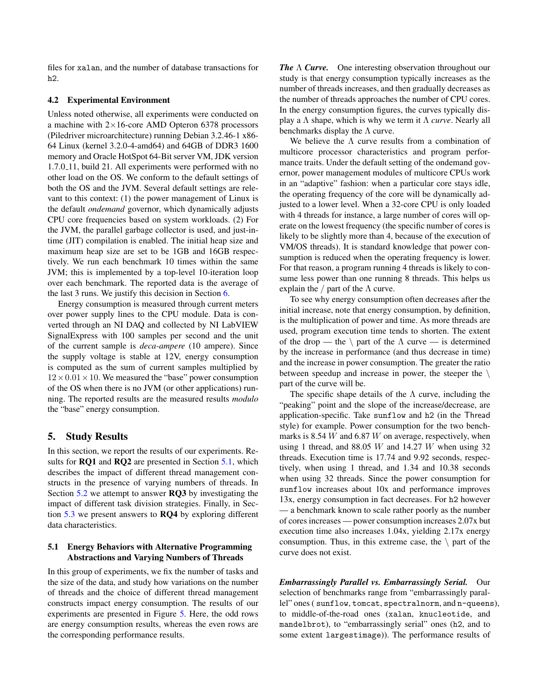files for xalan, and the number of database transactions for h2.

#### 4.2 Experimental Environment

Unless noted otherwise, all experiments were conducted on a machine with  $2 \times 16$ -core AMD Opteron 6378 processors (Piledriver microarchitecture) running Debian 3.2.46-1 x86- 64 Linux (kernel 3.2.0-4-amd64) and 64GB of DDR3 1600 memory and Oracle HotSpot 64-Bit server VM, JDK version 1.7.0 11, build 21. All experiments were performed with no other load on the OS. We conform to the default settings of both the OS and the JVM. Several default settings are relevant to this context: (1) the power management of Linux is the default *ondemand* governor, which dynamically adjusts CPU core frequencies based on system workloads. (2) For the JVM, the parallel garbage collector is used, and just-intime (JIT) compilation is enabled. The initial heap size and maximum heap size are set to be 1GB and 16GB respectively. We run each benchmark 10 times within the same JVM; this is implemented by a top-level 10-iteration loop over each benchmark. The reported data is the average of the last 3 runs. We justify this decision in Section [6.](#page-12-0)

Energy consumption is measured through current meters over power supply lines to the CPU module. Data is converted through an NI DAQ and collected by NI LabVIEW SignalExpress with 100 samples per second and the unit of the current sample is *deca-ampere* (10 ampere). Since the supply voltage is stable at 12V, energy consumption is computed as the sum of current samples multiplied by  $12 \times 0.01 \times 10$ . We measured the "base" power consumption of the OS when there is no JVM (or other applications) running. The reported results are the measured results *modulo* the "base" energy consumption.

#### <span id="page-5-0"></span>5. Study Results

In this section, we report the results of our experiments. Results for **RQ1** and **RQ2** are presented in Section [5.1,](#page-5-1) which describes the impact of different thread management constructs in the presence of varying numbers of threads. In Section [5.2](#page-8-0) we attempt to answer RQ3 by investigating the impact of different task division strategies. Finally, in Section [5.3](#page-10-0) we present answers to RQ4 by exploring different data characteristics.

#### <span id="page-5-1"></span>5.1 Energy Behaviors with Alternative Programming Abstractions and Varying Numbers of Threads

In this group of experiments, we fix the number of tasks and the size of the data, and study how variations on the number of threads and the choice of different thread management constructs impact energy consumption. The results of our experiments are presented in Figure [5.](#page-6-0) Here, the odd rows are energy consumption results, whereas the even rows are the corresponding performance results.

*The*  $\Lambda$  *Curve.* One interesting observation throughout our study is that energy consumption typically increases as the number of threads increases, and then gradually decreases as the number of threads approaches the number of CPU cores. In the energy consumption figures, the curves typically display a  $\Lambda$  shape, which is why we term it  $\Lambda$  *curve*. Nearly all benchmarks display the  $\Lambda$  curve.

We believe the  $\Lambda$  curve results from a combination of multicore processor characteristics and program performance traits. Under the default setting of the ondemand governor, power management modules of multicore CPUs work in an "adaptive" fashion: when a particular core stays idle, the operating frequency of the core will be dynamically adjusted to a lower level. When a 32-core CPU is only loaded with 4 threads for instance, a large number of cores will operate on the lowest frequency (the specific number of cores is likely to be slightly more than 4, because of the execution of VM/OS threads). It is standard knowledge that power consumption is reduced when the operating frequency is lower. For that reason, a program running 4 threads is likely to consume less power than one running 8 threads. This helps us explain the  $/$  part of the  $\Lambda$  curve.

To see why energy consumption often decreases after the initial increase, note that energy consumption, by definition, is the multiplication of power and time. As more threads are used, program execution time tends to shorten. The extent of the drop — the  $\angle$  part of the  $\Lambda$  curve — is determined by the increase in performance (and thus decrease in time) and the increase in power consumption. The greater the ratio between speedup and increase in power, the steeper the *\* part of the curve will be.

The specific shape details of the  $\Lambda$  curve, including the "peaking" point and the slope of the increase/decrease, are application-specific. Take sunflow and h2 (in the Thread style) for example. Power consumption for the two benchmarks is 8.54 *W* and 6.87 *W* on average, respectively, when using 1 thread, and 88.05 *W* and 14.27 *W* when using 32 threads. Execution time is 17.74 and 9.92 seconds, respectively, when using 1 thread, and 1.34 and 10.38 seconds when using 32 threads. Since the power consumption for sunflow increases about 10x and performance improves 13x, energy consumption in fact decreases. For h2 however — a benchmark known to scale rather poorly as the number of cores increases — power consumption increases 2.07x but execution time also increases 1.04x, yielding 2.17x energy consumption. Thus, in this extreme case, the *\* part of the curve does not exist.

*Embarrassingly Parallel vs. Embarrassingly Serial.* Our selection of benchmarks range from "embarrassingly parallel" ones ( sunflow, tomcat, spectralnorm, and n-queens), to middle-of-the-road ones (xalan, knucleotide, and mandelbrot), to "embarrassingly serial" ones (h2, and to some extent largestimage)). The performance results of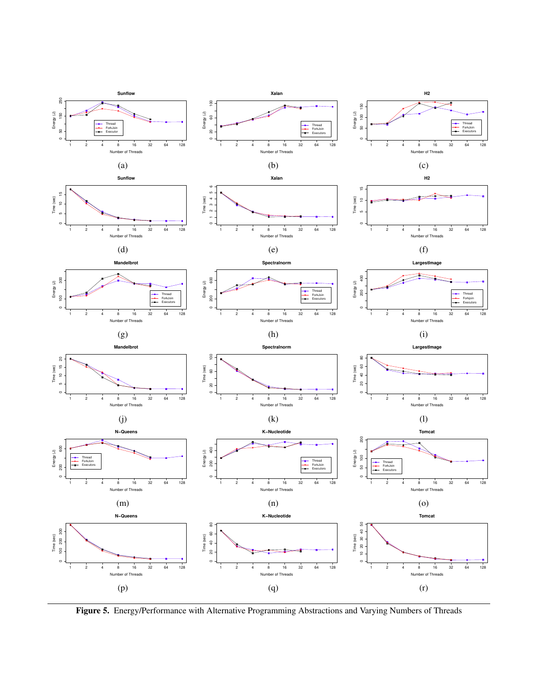

<span id="page-6-0"></span>Figure 5. Energy/Performance with Alternative Programming Abstractions and Varying Numbers of Threads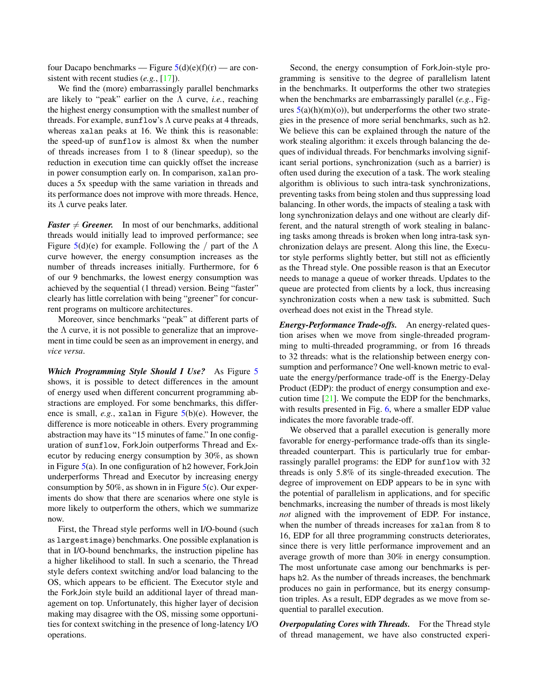four Dacapo benchmarks — Figure  $5(d)(e)(f)(r)$  $5(d)(e)(f)(r)$  — are consistent with recent studies (*e.g.*, [\[17\]](#page-14-15)).

We find the (more) embarrassingly parallel benchmarks are likely to "peak" earlier on the  $\Lambda$  curve, *i.e.*, reaching the highest energy consumption with the smallest number of threads. For example, sunflow's  $\Lambda$  curve peaks at 4 threads, whereas xalan peaks at 16. We think this is reasonable: the speed-up of sunflow is almost 8x when the number of threads increases from 1 to 8 (linear speedup), so the reduction in execution time can quickly offset the increase in power consumption early on. In comparison, xalan produces a 5x speedup with the same variation in threads and its performance does not improve with more threads. Hence, its  $\Lambda$  curve peaks later.

*Faster*  $\neq$  *Greener.* In most of our benchmarks, additional threads would initially lead to improved performance; see Figure  $5(d)(e)$  $5(d)(e)$  for example. Following the / part of the  $\Lambda$ curve however, the energy consumption increases as the number of threads increases initially. Furthermore, for 6 of our 9 benchmarks, the lowest energy consumption was achieved by the sequential (1 thread) version. Being "faster" clearly has little correlation with being "greener" for concurrent programs on multicore architectures.

Moreover, since benchmarks "peak" at different parts of the  $\Lambda$  curve, it is not possible to generalize that an improvement in time could be seen as an improvement in energy, and *vice versa*.

*Which Programming Style Should I Use?* As Figure [5](#page-6-0) shows, it is possible to detect differences in the amount of energy used when different concurrent programming abstractions are employed. For some benchmarks, this difference is small, *e.g.*, xalan in Figure [5\(](#page-6-0)b)(e). However, the difference is more noticeable in others. Every programming abstraction may have its "15 minutes of fame." In one configuration of sunflow, ForkJoin outperforms Thread and Executor by reducing energy consumption by 30%, as shown in Figure  $5(a)$  $5(a)$ . In one configuration of h2 however, ForkJoin underperforms Thread and Executor by increasing energy consumption by 50%, as shown in in Figure  $5(c)$  $5(c)$ . Our experiments do show that there are scenarios where one style is more likely to outperform the others, which we summarize now.

First, the Thread style performs well in I/O-bound (such as largestimage) benchmarks. One possible explanation is that in I/O-bound benchmarks, the instruction pipeline has a higher likelihood to stall. In such a scenario, the Thread style defers context switching and/or load balancing to the OS, which appears to be efficient. The Executor style and the ForkJoin style build an additional layer of thread management on top. Unfortunately, this higher layer of decision making may disagree with the OS, missing some opportunities for context switching in the presence of long-latency I/O operations.

Second, the energy consumption of ForkJoin-style programming is sensitive to the degree of parallelism latent in the benchmarks. It outperforms the other two strategies when the benchmarks are embarrassingly parallel (*e.g.*, Figures  $5(a)(h)(m)(o)$  $5(a)(h)(m)(o)$ , but underperforms the other two strategies in the presence of more serial benchmarks, such as h2. We believe this can be explained through the nature of the work stealing algorithm: it excels through balancing the deques of individual threads. For benchmarks involving significant serial portions, synchronization (such as a barrier) is often used during the execution of a task. The work stealing algorithm is oblivious to such intra-task synchronizations, preventing tasks from being stolen and thus suppressing load balancing. In other words, the impacts of stealing a task with long synchronization delays and one without are clearly different, and the natural strength of work stealing in balancing tasks among threads is broken when long intra-task synchronization delays are present. Along this line, the Executor style performs slightly better, but still not as efficiently as the Thread style. One possible reason is that an Executor needs to manage a queue of worker threads. Updates to the queue are protected from clients by a lock, thus increasing synchronization costs when a new task is submitted. Such overhead does not exist in the Thread style.

*Energy-Performance Trade-offs.* An energy-related question arises when we move from single-threaded programming to multi-threaded programming, or from 16 threads to 32 threads: what is the relationship between energy consumption and performance? One well-known metric to evaluate the energy/performance trade-off is the Energy-Delay Product (EDP): the product of energy consumption and execution time [\[21\]](#page-14-19). We compute the EDP for the benchmarks, with results presented in Fig. [6,](#page-8-1) where a smaller EDP value indicates the more favorable trade-off.

We observed that a parallel execution is generally more favorable for energy-performance trade-offs than its singlethreaded counterpart. This is particularly true for embarrassingly parallel programs: the EDP for sunflow with 32 threads is only 5.8% of its single-threaded execution. The degree of improvement on EDP appears to be in sync with the potential of parallelism in applications, and for specific benchmarks, increasing the number of threads is most likely *not* aligned with the improvement of EDP. For instance, when the number of threads increases for xalan from 8 to 16, EDP for all three programming constructs deteriorates, since there is very little performance improvement and an average growth of more than 30% in energy consumption. The most unfortunate case among our benchmarks is perhaps h2. As the number of threads increases, the benchmark produces no gain in performance, but its energy consumption triples. As a result, EDP degrades as we move from sequential to parallel execution.

*Overpopulating Cores with Threads.* For the Thread style of thread management, we have also constructed experi-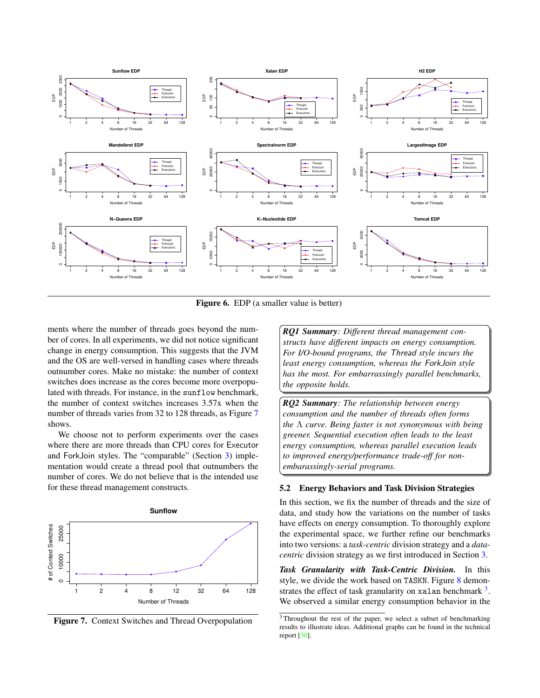

<span id="page-8-1"></span>Figure 6. EDP (a smaller value is better)

ments where the number of threads goes beyond the number of cores. In all experiments, we did not notice significant change in energy consumption. This suggests that the JVM and the OS are well-versed in handling cases where threads outnumber cores. Make no mistake: the number of context switches does increase as the cores become more overpopulated with threads. For instance, in the sunflow benchmark, the number of context switches increases 3.57x when the number of threads varies from 32 to 128 threads, as Figure [7](#page-8-2) shows.

We choose not to perform experiments over the cases where there are more threads than CPU cores for Executor and ForkJoin styles. The "comparable" (Section [3\)](#page-3-2) implementation would create a thread pool that outnumbers the number of cores. We do not believe that is the intended use for these thread management constructs.



<span id="page-8-2"></span>Figure 7. Context Switches and Thread Overpopulation

*RQ1 Summary: Different thread management constructs have different impacts on energy consumption. For I/O-bound programs, the Thread style incurs the least energy consumption, whereas the ForkJoin style has the most. For embarrassingly parallel benchmarks, the opposite holds.*

*RQ2 Summary: The relationship between energy consumption and the number of threads often forms the*  $\Lambda$  *curve. Being faster is not synonymous with being greener. Sequential execution often leads to the least energy consumption, whereas parallel execution leads to improved energy/performance trade-off for nonembarassingly-serial programs.*

#### <span id="page-8-0"></span>5.2 Energy Behaviors and Task Division Strategies

In this section, we fix the number of threads and the size of data, and study how the variations on the number of tasks have effects on energy consumption. To thoroughly explore the experimental space, we further refine our benchmarks into two versions: a *task-centric* division strategy and a *datacentric* division strategy as we first introduced in Section [3.](#page-3-2)

*Task Granularity with Task-Centric Division.* In this style, we divide the work based on TASKN. Figure [8](#page-9-0) demonstrates the effect of task granularity on xalan benchmark  $3$ . We observed a similar energy consumption behavior in the

<span id="page-8-3"></span><sup>3</sup> Throughout the rest of the paper, we select a subset of benchmarking results to illustrate ideas. Additional graphs can be found in the technical report [\[30\]](#page-15-18).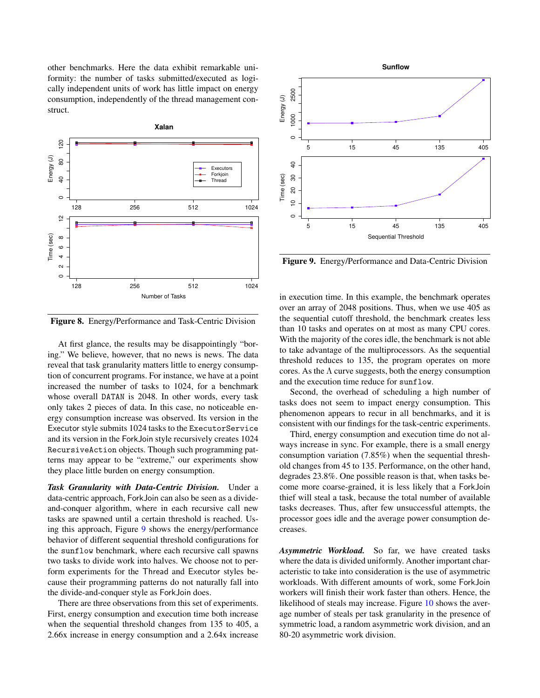other benchmarks. Here the data exhibit remarkable uniformity: the number of tasks submitted/executed as logically independent units of work has little impact on energy consumption, independently of the thread management construct.



<span id="page-9-0"></span>Figure 8. Energy/Performance and Task-Centric Division

At first glance, the results may be disappointingly "boring." We believe, however, that no news is news. The data reveal that task granularity matters little to energy consumption of concurrent programs. For instance, we have at a point increased the number of tasks to 1024, for a benchmark whose overall DATAN is 2048. In other words, every task only takes 2 pieces of data. In this case, no noticeable energy consumption increase was observed. Its version in the Executor style submits 1024 tasks to the ExecutorService and its version in the ForkJoin style recursively creates 1024 RecursiveAction objects. Though such programming patterns may appear to be "extreme," our experiments show they place little burden on energy consumption.

*Task Granularity with Data-Centric Division.* Under a data-centric approach, ForkJoin can also be seen as a divideand-conquer algorithm, where in each recursive call new tasks are spawned until a certain threshold is reached. Using this approach, Figure [9](#page-9-1) shows the energy/performance behavior of different sequential threshold configurations for the sunflow benchmark, where each recursive call spawns two tasks to divide work into halves. We choose not to perform experiments for the Thread and Executor styles because their programming patterns do not naturally fall into the divide-and-conquer style as ForkJoin does.

There are three observations from this set of experiments. First, energy consumption and execution time both increase when the sequential threshold changes from 135 to 405, a 2.66x increase in energy consumption and a 2.64x increase



<span id="page-9-1"></span>Figure 9. Energy/Performance and Data-Centric Division

in execution time. In this example, the benchmark operates over an array of 2048 positions. Thus, when we use 405 as the sequential cutoff threshold, the benchmark creates less than 10 tasks and operates on at most as many CPU cores. With the majority of the cores idle, the benchmark is not able to take advantage of the multiprocessors. As the sequential threshold reduces to 135, the program operates on more cores. As the  $\Lambda$  curve suggests, both the energy consumption and the execution time reduce for sunflow.

Second, the overhead of scheduling a high number of tasks does not seem to impact energy consumption. This phenomenon appears to recur in all benchmarks, and it is consistent with our findings for the task-centric experiments.

Third, energy consumption and execution time do not always increase in sync. For example, there is a small energy consumption variation (7.85%) when the sequential threshold changes from 45 to 135. Performance, on the other hand, degrades 23.8%. One possible reason is that, when tasks become more coarse-grained, it is less likely that a ForkJoin thief will steal a task, because the total number of available tasks decreases. Thus, after few unsuccessful attempts, the processor goes idle and the average power consumption decreases.

*Asymmetric Workload.* So far, we have created tasks where the data is divided uniformly. Another important characteristic to take into consideration is the use of asymmetric workloads. With different amounts of work, some ForkJoin workers will finish their work faster than others. Hence, the likelihood of steals may increase. Figure [10](#page-10-1) shows the average number of steals per task granularity in the presence of symmetric load, a random asymmetric work division, and an 80-20 asymmetric work division.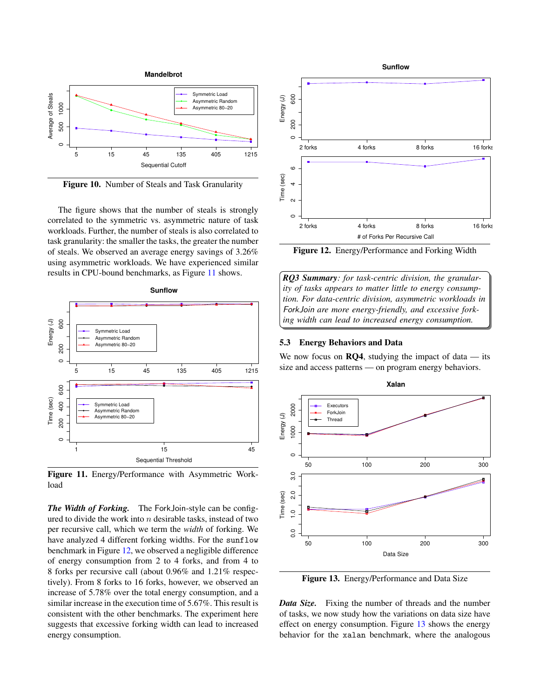

<span id="page-10-1"></span>Figure 10. Number of Steals and Task Granularity

The figure shows that the number of steals is strongly correlated to the symmetric vs. asymmetric nature of task workloads. Further, the number of steals is also correlated to task granularity: the smaller the tasks, the greater the number of steals. We observed an average energy savings of 3.26% using asymmetric workloads. We have experienced similar results in CPU-bound benchmarks, as Figure [11](#page-10-2) shows.



<span id="page-10-2"></span>Figure 11. Energy/Performance with Asymmetric Workload

*The Width of Forking.* The ForkJoin-style can be configured to divide the work into *n* desirable tasks, instead of two per recursive call, which we term the *width* of forking. We have analyzed 4 different forking widths. For the sunflow benchmark in Figure [12,](#page-10-3) we observed a negligible difference of energy consumption from 2 to 4 forks, and from 4 to 8 forks per recursive call (about 0.96% and 1.21% respectively). From 8 forks to 16 forks, however, we observed an increase of 5.78% over the total energy consumption, and a similar increase in the execution time of 5.67%. This result is consistent with the other benchmarks. The experiment here suggests that excessive forking width can lead to increased energy consumption.



<span id="page-10-3"></span>Figure 12. Energy/Performance and Forking Width

*RQ3 Summary: for task-centric division, the granularity of tasks appears to matter little to energy consumption. For data-centric division, asymmetric workloads in ForkJoin are more energy-friendly, and excessive forking width can lead to increased energy consumption.*

#### <span id="page-10-0"></span>5.3 Energy Behaviors and Data

We now focus on  $RQ4$ , studying the impact of data — its size and access patterns — on program energy behaviors.



<span id="page-10-4"></span>Figure 13. Energy/Performance and Data Size

*Data Size.* Fixing the number of threads and the number of tasks, we now study how the variations on data size have effect on energy consumption. Figure [13](#page-10-4) shows the energy behavior for the xalan benchmark, where the analogous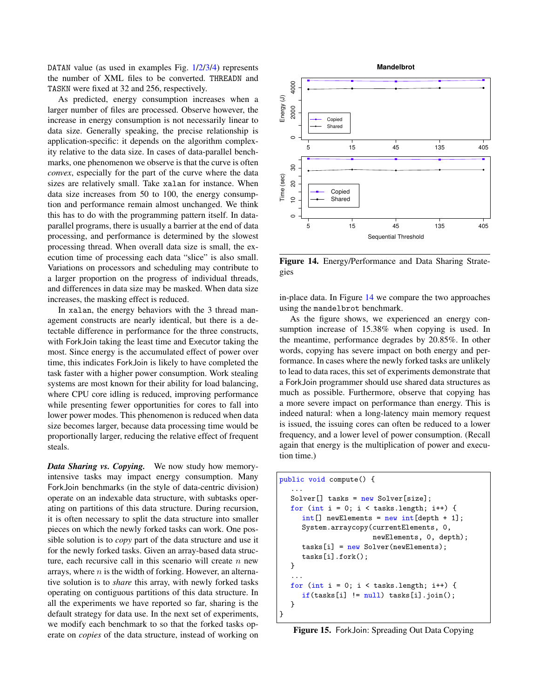DATAN value (as used in examples Fig. [1/](#page-2-0)[2](#page-2-1)[/3/](#page-3-0)[4\)](#page-3-1) represents the number of XML files to be converted. THREADN and TASKN were fixed at 32 and 256, respectively.

As predicted, energy consumption increases when a larger number of files are processed. Observe however, the increase in energy consumption is not necessarily linear to data size. Generally speaking, the precise relationship is application-specific: it depends on the algorithm complexity relative to the data size. In cases of data-parallel benchmarks, one phenomenon we observe is that the curve is often *convex*, especially for the part of the curve where the data sizes are relatively small. Take xalan for instance. When data size increases from 50 to 100, the energy consumption and performance remain almost unchanged. We think this has to do with the programming pattern itself. In dataparallel programs, there is usually a barrier at the end of data processing, and performance is determined by the slowest processing thread. When overall data size is small, the execution time of processing each data "slice" is also small. Variations on processors and scheduling may contribute to a larger proportion on the progress of individual threads, and differences in data size may be masked. When data size increases, the masking effect is reduced.

In xalan, the energy behaviors with the 3 thread management constructs are nearly identical, but there is a detectable difference in performance for the three constructs, with ForkJoin taking the least time and Executor taking the most. Since energy is the accumulated effect of power over time, this indicates ForkJoin is likely to have completed the task faster with a higher power consumption. Work stealing systems are most known for their ability for load balancing, where CPU core idling is reduced, improving performance while presenting fewer opportunities for cores to fall into lower power modes. This phenomenon is reduced when data size becomes larger, because data processing time would be proportionally larger, reducing the relative effect of frequent steals.

*Data Sharing vs. Copying.* We now study how memoryintensive tasks may impact energy consumption. Many ForkJoin benchmarks (in the style of data-centric division) operate on an indexable data structure, with subtasks operating on partitions of this data structure. During recursion, it is often necessary to split the data structure into smaller pieces on which the newly forked tasks can work. One possible solution is to *copy* part of the data structure and use it for the newly forked tasks. Given an array-based data structure, each recursive call in this scenario will create *n* new arrays, where *n* is the width of forking. However, an alternative solution is to *share* this array, with newly forked tasks operating on contiguous partitions of this data structure. In all the experiments we have reported so far, sharing is the default strategy for data use. In the next set of experiments, we modify each benchmark to so that the forked tasks operate on *copies* of the data structure, instead of working on



<span id="page-11-0"></span>Figure 14. Energy/Performance and Data Sharing Strategies

in-place data. In Figure [14](#page-11-0) we compare the two approaches using the mandelbrot benchmark.

As the figure shows, we experienced an energy consumption increase of 15.38% when copying is used. In the meantime, performance degrades by 20.85%. In other words, copying has severe impact on both energy and performance. In cases where the newly forked tasks are unlikely to lead to data races, this set of experiments demonstrate that a ForkJoin programmer should use shared data structures as much as possible. Furthermore, observe that copying has a more severe impact on performance than energy. This is indeed natural: when a long-latency main memory request is issued, the issuing cores can often be reduced to a lower frequency, and a lower level of power consumption. (Recall again that energy is the multiplication of power and execution time.)

```
public void compute() {
  ...
  Solver[] tasks = new Solver[size];
  for (int i = 0; i < tasks.length; i++) {
     int[] newElements = new int[depth + 1];
     System.arraycopy(currentElements, 0,
                      newElements, 0, depth);
     tasks[i] = new Solver(newElements);tasks[i].fork();
  }
   ...
  for (int i = 0; i < tasks.length; i++) {
     if(tasks[i] != null) task[i].join();}
}
```
<span id="page-11-1"></span>Figure 15. ForkJoin: Spreading Out Data Copying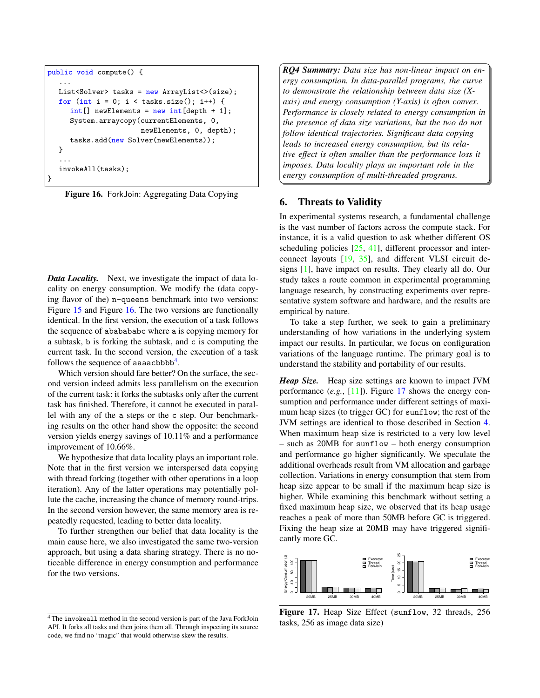

<span id="page-12-1"></span>Figure 16. ForkJoin: Aggregating Data Copying

*Data Locality.* Next, we investigate the impact of data locality on energy consumption. We modify the (data copying flavor of the) n-queens benchmark into two versions: Figure [15](#page-11-1) and Figure [16.](#page-12-1) The two versions are functionally identical. In the first version, the execution of a task follows the sequence of ababababc where a is copying memory for a subtask, b is forking the subtask, and c is computing the current task. In the second version, the execution of a task follows the sequence of aaaacbbbb $<sup>4</sup>$ .</sup>

Which version should fare better? On the surface, the second version indeed admits less parallelism on the execution of the current task: it forks the subtasks only after the current task has finished. Therefore, it cannot be executed in parallel with any of the a steps or the c step. Our benchmarking results on the other hand show the opposite: the second version yields energy savings of 10.11% and a performance improvement of 10.66%.

We hypothesize that data locality plays an important role. Note that in the first version we interspersed data copying with thread forking (together with other operations in a loop iteration). Any of the latter operations may potentially pollute the cache, increasing the chance of memory round-trips. In the second version however, the same memory area is repeatedly requested, leading to better data locality.

To further strengthen our belief that data locality is the main cause here, we also investigated the same two-version approach, but using a data sharing strategy. There is no noticeable difference in energy consumption and performance for the two versions.

*RQ4 Summary: Data size has non-linear impact on energy consumption. In data-parallel programs, the curve to demonstrate the relationship between data size (Xaxis) and energy consumption (Y-axis) is often convex. Performance is closely related to energy consumption in the presence of data size variations, but the two do not follow identical trajectories. Significant data copying leads to increased energy consumption, but its relative effect is often smaller than the performance loss it imposes. Data locality plays an important role in the energy consumption of multi-threaded programs.*

#### <span id="page-12-0"></span>6. Threats to Validity

In experimental systems research, a fundamental challenge is the vast number of factors across the compute stack. For instance, it is a valid question to ask whether different OS scheduling policies [\[25,](#page-15-2) [41\]](#page-15-4), different processor and interconnect layouts [\[19,](#page-14-3) [35\]](#page-15-0), and different VLSI circuit designs [\[1\]](#page-14-20), have impact on results. They clearly all do. Our study takes a route common in experimental programming language research, by constructing experiments over representative system software and hardware, and the results are empirical by nature.

To take a step further, we seek to gain a preliminary understanding of how variations in the underlying system impact our results. In particular, we focus on configuration variations of the language runtime. The primary goal is to understand the stability and portability of our results.

*Heap Size.* Heap size settings are known to impact JVM performance (*e.g.*, [\[11\]](#page-14-21)). Figure [17](#page-12-3) shows the energy consumption and performance under different settings of maximum heap sizes (to trigger GC) for sunflow; the rest of the JVM settings are identical to those described in Section [4.](#page-4-2) When maximum heap size is restricted to a very low level – such as 20MB for sunflow – both energy consumption and performance go higher significantly. We speculate the additional overheads result from VM allocation and garbage collection. Variations in energy consumption that stem from heap size appear to be small if the maximum heap size is higher. While examining this benchmark without setting a fixed maximum heap size, we observed that its heap usage reaches a peak of more than 50MB before GC is triggered. Fixing the heap size at 20MB may have triggered significantly more GC.



<span id="page-12-3"></span>Figure 17. Heap Size Effect (sunflow, 32 threads, 256 tasks, 256 as image data size)

<span id="page-12-2"></span><sup>4</sup> The invokeall method in the second version is part of the Java ForkJoin API. It forks all tasks and then joins them all. Through inspecting its source code, we find no "magic" that would otherwise skew the results.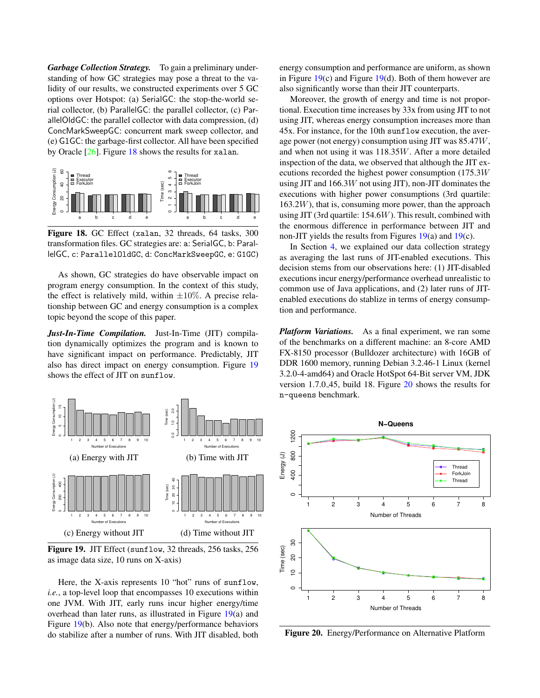*Garbage Collection Strategy.* To gain a preliminary understanding of how GC strategies may pose a threat to the validity of our results, we constructed experiments over 5 GC options over Hotspot: (a) SerialGC: the stop-the-world serial collector, (b) ParallelGC: the parallel collector, (c) ParallelOldGC: the parallel collector with data compression, (d) ConcMarkSweepGC: concurrent mark sweep collector, and (e) G1GC: the garbage-first collector. All have been specified by Oracle [\[26\]](#page-15-19). Figure [18](#page-13-0) shows the results for xalan.



<span id="page-13-0"></span>Figure 18. GC Effect (xalan, 32 threads, 64 tasks, 300 transformation files. GC strategies are: a: SerialGC, b: ParallelGC, c: ParallelOldGC, d: ConcMarkSweepGC, e: G1GC)

As shown, GC strategies do have observable impact on program energy consumption. In the context of this study, the effect is relatively mild, within *±*10%. A precise relationship between GC and energy consumption is a complex topic beyond the scope of this paper.

*Just-In-Time Compilation.* Just-In-Time (JIT) compilation dynamically optimizes the program and is known to have significant impact on performance. Predictably, JIT also has direct impact on energy consumption. Figure [19](#page-13-1) shows the effect of JIT on sunflow.



<span id="page-13-1"></span>Figure 19. JIT Effect (sunflow, 32 threads, 256 tasks, 256 as image data size, 10 runs on X-axis)

Here, the X-axis represents 10 "hot" runs of sunflow, *i.e.*, a top-level loop that encompasses 10 executions within one JVM. With JIT, early runs incur higher energy/time overhead than later runs, as illustrated in Figure [19\(](#page-13-1)a) and Figure [19\(](#page-13-1)b). Also note that energy/performance behaviors do stabilize after a number of runs. With JIT disabled, both energy consumption and performance are uniform, as shown in Figure  $19(c)$  $19(c)$  and Figure  $19(d)$ . Both of them however are also significantly worse than their JIT counterparts.

Moreover, the growth of energy and time is not proportional. Execution time increases by 33x from using JIT to not using JIT, whereas energy consumption increases more than 45x. For instance, for the 10th sunflow execution, the average power (not energy) consumption using JIT was 85.47*W*, and when not using it was 118.35*W*. After a more detailed inspection of the data, we observed that although the JIT executions recorded the highest power consumption (175.3*W* using JIT and 166.3*W* not using JIT), non-JIT dominates the executions with higher power consumptions (3rd quartile: 163.2*W*), that is, consuming more power, than the approach using JIT (3rd quartile: 154.6*W*). This result, combined with the enormous difference in performance between JIT and non-JIT yields the results from Figures [19\(](#page-13-1)a) and [19\(](#page-13-1)c).

In Section [4,](#page-4-2) we explained our data collection strategy as averaging the last runs of JIT-enabled executions. This decision stems from our observations here: (1) JIT-disabled executions incur energy/performance overhead unrealistic to common use of Java applications, and (2) later runs of JITenabled executions do stablize in terms of energy consumption and performance.

*Platform Variations.* As a final experiment, we ran some of the benchmarks on a different machine: an 8-core AMD FX-8150 processor (Bulldozer architecture) with 16GB of DDR 1600 memory, running Debian 3.2.46-1 Linux (kernel 3.2.0-4-amd64) and Oracle HotSpot 64-Bit server VM, JDK version 1.7.0 45, build 18. Figure [20](#page-13-2) shows the results for n-queens benchmark.



<span id="page-13-2"></span>Figure 20. Energy/Performance on Alternative Platform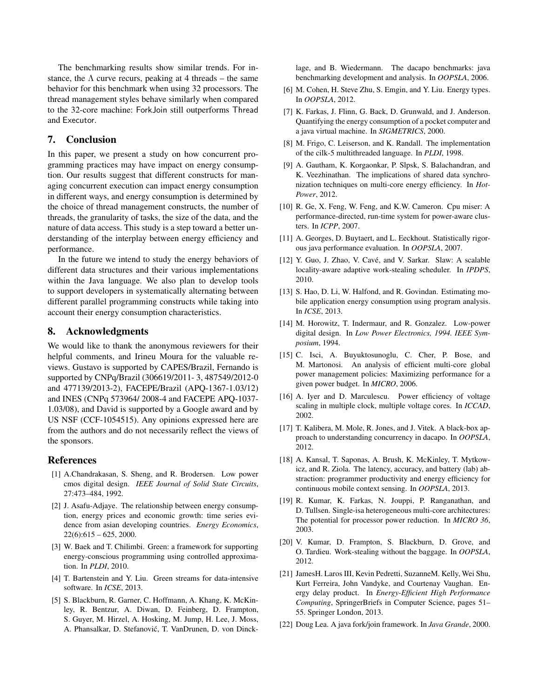The benchmarking results show similar trends. For instance, the  $\Lambda$  curve recurs, peaking at 4 threads – the same behavior for this benchmark when using 32 processors. The thread management styles behave similarly when compared to the 32-core machine: ForkJoin still outperforms Thread and Executor.

# 7. Conclusion

In this paper, we present a study on how concurrent programming practices may have impact on energy consumption. Our results suggest that different constructs for managing concurrent execution can impact energy consumption in different ways, and energy consumption is determined by the choice of thread management constructs, the number of threads, the granularity of tasks, the size of the data, and the nature of data access. This study is a step toward a better understanding of the interplay between energy efficiency and performance.

In the future we intend to study the energy behaviors of different data structures and their various implementations within the Java language. We also plan to develop tools to support developers in systematically alternating between different parallel programming constructs while taking into account their energy consumption characteristics.

# 8. Acknowledgments

We would like to thank the anonymous reviewers for their helpful comments, and Irineu Moura for the valuable reviews. Gustavo is supported by CAPES/Brazil, Fernando is supported by CNPq/Brazil (306619/2011- 3, 487549/2012-0 and 477139/2013-2), FACEPE/Brazil (APQ-1367-1.03/12) and INES (CNPq 573964/ 2008-4 and FACEPE APQ-1037- 1.03/08), and David is supported by a Google award and by US NSF (CCF-1054515). Any opinions expressed here are from the authors and do not necessarily reflect the views of the sponsors.

#### References

- <span id="page-14-20"></span>[1] A.Chandrakasan, S. Sheng, and R. Brodersen. Low power cmos digital design. *IEEE Journal of Solid State Circuits*, 27:473–484, 1992.
- <span id="page-14-0"></span>[2] J. Asafu-Adjaye. The relationship between energy consumption, energy prices and economic growth: time series evidence from asian developing countries. *Energy Economics*,  $22(6):615 - 625, 2000.$
- <span id="page-14-8"></span>[3] W. Baek and T. Chilimbi. Green: a framework for supporting energy-conscious programming using controlled approximation. In *PLDI*, 2010.
- <span id="page-14-6"></span>[4] T. Bartenstein and Y. Liu. Green streams for data-intensive software. In *ICSE*, 2013.
- <span id="page-14-14"></span>[5] S. Blackburn, R. Garner, C. Hoffmann, A. Khang, K. McKinley, R. Bentzur, A. Diwan, D. Feinberg, D. Frampton, S. Guyer, M. Hirzel, A. Hosking, M. Jump, H. Lee, J. Moss, A. Phansalkar, D. Stefanović, T. VanDrunen, D. von Dinck-

lage, and B. Wiedermann. The dacapo benchmarks: java benchmarking development and analysis. In *OOPSLA*, 2006.

- <span id="page-14-9"></span>[6] M. Cohen, H. Steve Zhu, S. Emgin, and Y. Liu. Energy types. In *OOPSLA*, 2012.
- <span id="page-14-5"></span>[7] K. Farkas, J. Flinn, G. Back, D. Grunwald, and J. Anderson. Quantifying the energy consumption of a pocket computer and a java virtual machine. In *SIGMETRICS*, 2000.
- <span id="page-14-16"></span>[8] M. Frigo, C. Leiserson, and K. Randall. The implementation of the cilk-5 multithreaded language. In *PLDI*, 1998.
- <span id="page-14-11"></span>[9] A. Gautham, K. Korgaonkar, P. Slpsk, S. Balachandran, and K. Veezhinathan. The implications of shared data synchronization techniques on multi-core energy efficiency. In *Hot-Power*, 2012.
- <span id="page-14-4"></span>[10] R. Ge, X. Feng, W. Feng, and K.W. Cameron. Cpu miser: A performance-directed, run-time system for power-aware clusters. In *ICPP*, 2007.
- <span id="page-14-21"></span>[11] A. Georges, D. Buytaert, and L. Eeckhout. Statistically rigorous java performance evaluation. In *OOPSLA*, 2007.
- <span id="page-14-17"></span>[12] Y. Guo, J. Zhao, V. Cavé, and V. Sarkar. Slaw: A scalable locality-aware adaptive work-stealing scheduler. In *IPDPS*, 2010.
- <span id="page-14-7"></span>[13] S. Hao, D. Li, W. Halfond, and R. Govindan. Estimating mobile application energy consumption using program analysis. In *ICSE*, 2013.
- <span id="page-14-1"></span>[14] M. Horowitz, T. Indermaur, and R. Gonzalez. Low-power digital design. In *Low Power Electronics, 1994. IEEE Symposium*, 1994.
- <span id="page-14-12"></span>[15] C. Isci, A. Buyuktosunoglu, C. Cher, P. Bose, and M. Martonosi. An analysis of efficient multi-core global power management policies: Maximizing performance for a given power budget. In *MICRO*, 2006.
- <span id="page-14-2"></span>[16] A. Iyer and D. Marculescu. Power efficiency of voltage scaling in multiple clock, multiple voltage cores. In *ICCAD*, 2002.
- <span id="page-14-15"></span>[17] T. Kalibera, M. Mole, R. Jones, and J. Vitek. A black-box approach to understanding concurrency in dacapo. In *OOPSLA*, 2012.
- <span id="page-14-10"></span>[18] A. Kansal, T. Saponas, A. Brush, K. McKinley, T. Mytkowicz, and R. Ziola. The latency, accuracy, and battery (lab) abstraction: programmer productivity and energy efficiency for continuous mobile context sensing. In *OOPSLA*, 2013.
- <span id="page-14-3"></span>[19] R. Kumar, K. Farkas, N. Jouppi, P. Ranganathan, and D. Tullsen. Single-isa heterogeneous multi-core architectures: The potential for processor power reduction. In *MICRO 36*, 2003.
- <span id="page-14-18"></span>[20] V. Kumar, D. Frampton, S. Blackburn, D. Grove, and O. Tardieu. Work-stealing without the baggage. In *OOPSLA*, 2012.
- <span id="page-14-19"></span>[21] JamesH. Laros III, Kevin Pedretti, SuzanneM. Kelly, Wei Shu, Kurt Ferreira, John Vandyke, and Courtenay Vaughan. Energy delay product. In *Energy-Efficient High Performance Computing*, SpringerBriefs in Computer Science, pages 51– 55. Springer London, 2013.
- <span id="page-14-13"></span>[22] Doug Lea. A java fork/join framework. In *Java Grande*, 2000.